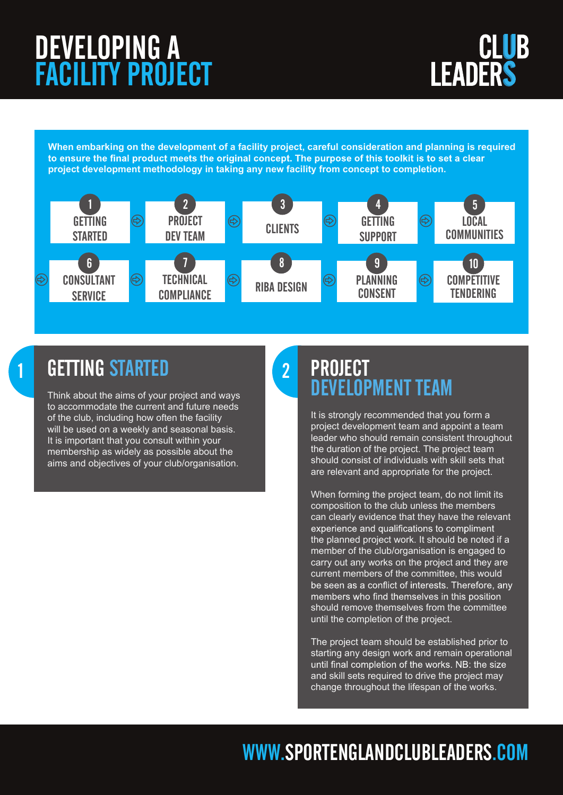

**When embarking on the development of a facility project, careful consideration and planning is required**  to ensure the final product meets the original concept. The purpose of this toolkit is to set a clear **project development methodology in taking any new facility from concept to completion.**



## 1 GETTING STARTED 2

Think about the aims of your project and ways to accommodate the current and future needs of the club, including how often the facility will be used on a weekly and seasonal basis. It is important that you consult within your membership as widely as possible about the aims and objectives of your club/organisation.

### PROJECT DEVELOPMENT TEAM

It is strongly recommended that you form a project development team and appoint a team leader who should remain consistent throughout the duration of the project. The project team should consist of individuals with skill sets that are relevant and appropriate for the project.

When forming the project team, do not limit its composition to the club unless the members can clearly evidence that they have the relevant experience and qualifications to compliment the planned project work. It should be noted if a member of the club/organisation is engaged to carry out any works on the project and they are current members of the committee, this would be seen as a conflict of interests. Therefore, any members who find themselves in this position should remove themselves from the committee until the completion of the project.

The project team should be established prior to starting any design work and remain operational until final completion of the works. NB: the size and skill sets required to drive the project may change throughout the lifespan of the works.

## WWW.SPORTENGLANDCLUBLEADERS.COM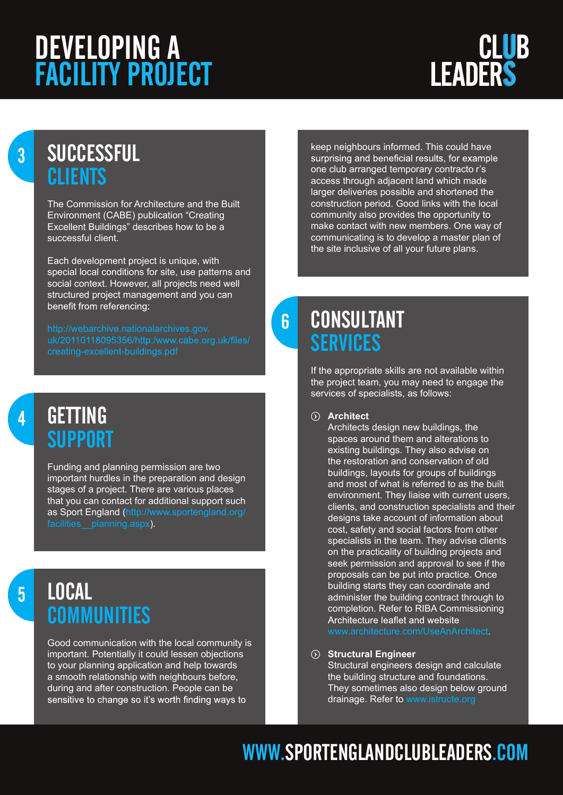# **LEADERS**

## 3 SUCCESSFUL **CLIENTS**

The Commission for Architecture and the Built Environment (CABE) publication "Creating Excellent Buildings" describes how to be a successful client.

Each development project is unique, with special local conditions for site, use patterns and social context. However, all projects need well structured project management and you can benefit from referencing:

## 4 GETTING **SUPPORT**

Funding and planning permission are two important hurdles in the preparation and design stages of a project. There are various places that you can contact for additional support such as Sport England ([http://www.sportengland.org/](http://www.sportengland.org/facilities__planning.aspx) [facilities\\_\\_planning.aspx\)](http://www.sportengland.org/facilities__planning.aspx).

## 5 LOCAL **COMMUNITIES**

Good communication with the local community is important. Potentially it could lessen objections to your planning application and help towards a smooth relationship with neighbours before, during and after construction. People can be sensitive to change so it's worth finding ways to

keep neighbours informed. This could have surprising and beneficial results, for example one club arranged temporary contracto r's access through adjacent land which made larger deliveries possible and shortened the construction period. Good links with the local community also provides the opportunity to make contact with new members. One way of communicating is to develop a master plan of the site inclusive of all your future plans.

## **6 CONSULTANT SERVICES**

If the appropriate skills are not available within the project team, you may need to engage the services of specialists, as follows:

#### $\circledcirc$  Architect

Architects design new buildings, the spaces around them and alterations to existing buildings. They also advise on the restoration and conservation of old buildings, layouts for groups of buildings and most of what is referred to as the built environment. They liaise with current users, clients, and construction specialists and their designs take account of information about cost, safety and social factors from other specialists in the team. They advise clients on the practicality of building projects and seek permission and approval to see if the proposals can be put into practice. Once building starts they can coordinate and administer the building contract through to completion. Refer to RIBA Commissioning Architecture leaflet and website

#### $\odot$  Structural Engineer

Structural engineers design and calculate the building structure and foundations. They sometimes also design below ground drainage. Refer to [www.istructe.org](http://www.istructe.org)

## WWW.SPORTENGLANDCLUBLEADERS.COM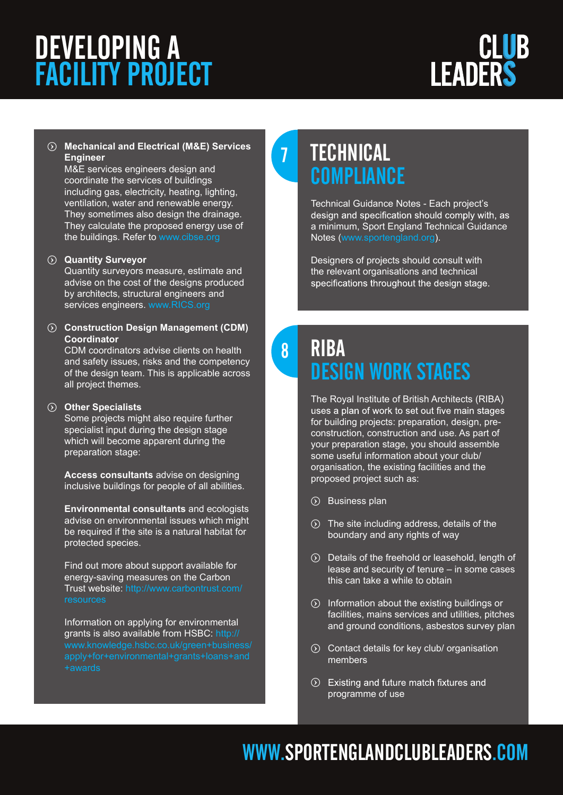# **LEADERS**

#### t **Mechanical and Electrical (M&E) Services Engineer**

M&E services engineers design and coordinate the services of buildings including gas, electricity, heating, lighting, ventilation, water and renewable energy. They sometimes also design the drainage. They calculate the proposed energy use of the buildings. Refer to [www.cibse.org](http://www.cibse.org)

#### $\odot$  **Quantity Surveyor**

Quantity surveyors measure, estimate and advise on the cost of the designs produced by architects, structural engineers and services engineers. [www.RICS.org](http://www.rics.org)

#### $\odot$  Construction Design Management (CDM) **Coordinator**

CDM coordinators advise clients on health and safety issues, risks and the competency of the design team. This is applicable across all project themes.

#### $\odot$  Other Specialists

Some projects might also require further specialist input during the design stage which will become apparent during the preparation stage:

**Access consultants** advise on designing inclusive buildings for people of all abilities.

**Environmental consultants** and ecologists advise on environmental issues which might be required if the site is a natural habitat for protected species.

Find out more about support available for energy-saving measures on the Carbon Trust website: [http://www.carbontrust.com/](http://www.carbontrust.com/resources)

Information on applying for environmental grants is also available from HSBC: [http://](http://www.knowledge.hsbc.co.uk/green+business/apply+for+environmental+grants+loans+and+awards)

## 7 TECHNICAL **COMPLIANCE**

Technical Guidance Notes - Each project's design and specification should comply with, as a minimum, Sport England Technical Guidance Notes [\(www.sportengland.org\)](http://www.sportengland.org).

Designers of projects should consult with the relevant organisations and technical specifications throughout the design stage.

## 8 RIBA DESIGN WORK STAGES

The Royal Institute of British Architects (RIBA) uses a plan of work to set out five main stages for building projects: preparation, design, preconstruction, construction and use. As part of your preparation stage, you should assemble some useful information about your club/ organisation, the existing facilities and the proposed project such as:

- $()$  Business plan
- $\circled{)}$  The site including address, details of the boundary and any rights of way
- $\odot$  Details of the freehold or leasehold, length of lease and security of tenure – in some cases this can take a while to obtain
- $\odot$  Information about the existing buildings or facilities, mains services and utilities, pitches and ground conditions, asbestos survey plan
- $\odot$  Contact details for key club/ organisation members
- $\odot$  Existing and future match fixtures and programme of use

## WWW.SPORTENGLANDCLUBLEADERS.COM